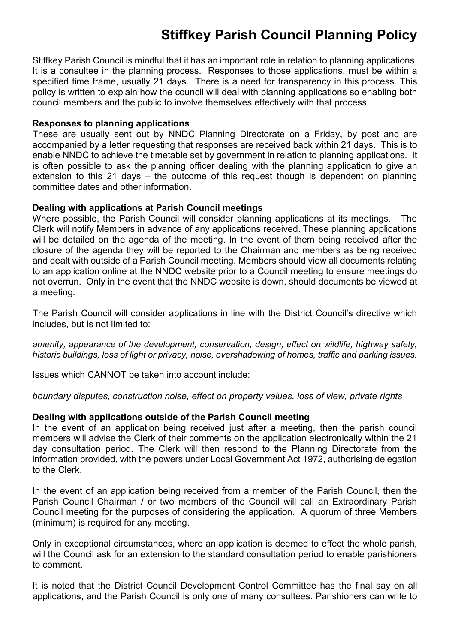# **Stiffkey Parish Council Planning Policy**

Stiffkey Parish Council is mindful that it has an important role in relation to planning applications. It is a consultee in the planning process. Responses to those applications, must be within a specified time frame, usually 21 days. There is a need for transparency in this process. This policy is written to explain how the council will deal with planning applications so enabling both council members and the public to involve themselves effectively with that process.

### **Responses to planning applications**

These are usually sent out by NNDC Planning Directorate on a Friday, by post and are accompanied by a letter requesting that responses are received back within 21 days. This is to enable NNDC to achieve the timetable set by government in relation to planning applications. It is often possible to ask the planning officer dealing with the planning application to give an extension to this 21 days – the outcome of this request though is dependent on planning committee dates and other information.

#### **Dealing with applications at Parish Council meetings**

Where possible, the Parish Council will consider planning applications at its meetings. The Clerk will notify Members in advance of any applications received. These planning applications will be detailed on the agenda of the meeting. In the event of them being received after the closure of the agenda they will be reported to the Chairman and members as being received and dealt with outside of a Parish Council meeting. Members should view all documents relating to an application online at the NNDC website prior to a Council meeting to ensure meetings do not overrun. Only in the event that the NNDC website is down, should documents be viewed at a meeting.

The Parish Council will consider applications in line with the District Council's directive which includes, but is not limited to:

*amenity, appearance of the development, conservation, design, effect on wildlife, highway safety, historic buildings, loss of light or privacy, noise, overshadowing of homes, traffic and parking issues.*

Issues which CANNOT be taken into account include:

*boundary disputes, construction noise, effect on property values, loss of view, private rights*

## **Dealing with applications outside of the Parish Council meeting**

In the event of an application being received just after a meeting, then the parish council members will advise the Clerk of their comments on the application electronically within the 21 day consultation period. The Clerk will then respond to the Planning Directorate from the information provided, with the powers under Local Government Act 1972, authorising delegation to the Clerk.

In the event of an application being received from a member of the Parish Council, then the Parish Council Chairman / or two members of the Council will call an Extraordinary Parish Council meeting for the purposes of considering the application. A quorum of three Members (minimum) is required for any meeting.

Only in exceptional circumstances, where an application is deemed to effect the whole parish, will the Council ask for an extension to the standard consultation period to enable parishioners to comment.

It is noted that the District Council Development Control Committee has the final say on all applications, and the Parish Council is only one of many consultees. Parishioners can write to